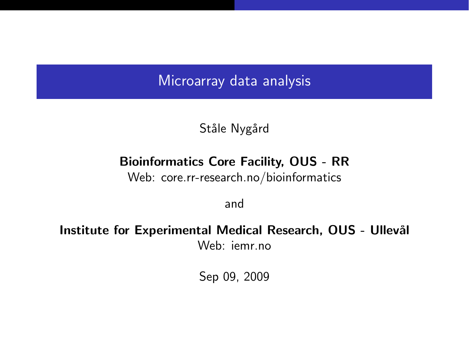Microarray data analysis

### Ståle Nygård

### Bioinformatics Core Facility, OUS - RR

Web: core.rr-research.no/bioinformatics

and

### Institute for Experimental Medical Research, OUS - Ullevål Web: iemr.no

Sep 09, 2009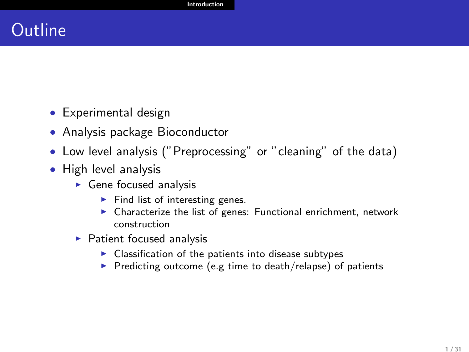## **Outline**

- Experimental design
- Analysis package Bioconductor
- Low level analysis ("Preprocessing" or "cleaning" of the data)
- High level analysis
	- $\blacktriangleright$  Gene focused analysis
		- $\blacktriangleright$  Find list of interesting genes.
		- $\triangleright$  Characterize the list of genes: Functional enrichment, network construction
	- $\blacktriangleright$  Patient focused analysis
		- $\blacktriangleright$  Classification of the patients into disease subtypes
		- $\triangleright$  Predicting outcome (e.g time to death/relapse) of patients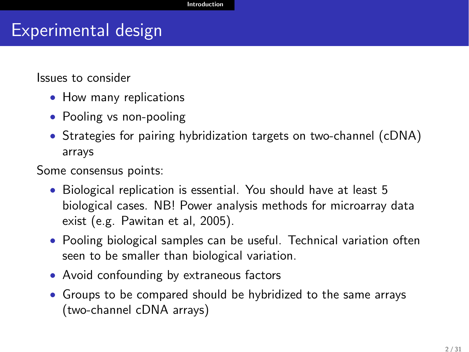### Experimental design

Issues to consider

- How many replications
- Pooling vs non-pooling
- Strategies for pairing hybridization targets on two-channel (cDNA) arrays

Some consensus points:

- Biological replication is essential. You should have at least 5 biological cases. NB! Power analysis methods for microarray data exist (e.g. Pawitan et al, 2005).
- Pooling biological samples can be useful. Technical variation often seen to be smaller than biological variation.
- Avoid confounding by extraneous factors
- Groups to be compared should be hybridized to the same arrays (two-channel cDNA arrays)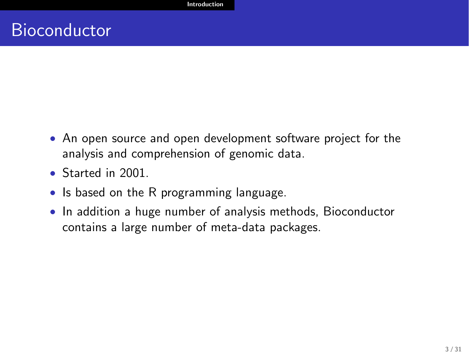- An open source and open development software project for the analysis and comprehension of genomic data.
- Started in 2001.
- Is based on the R programming language.
- In addition a huge number of analysis methods, Bioconductor contains a large number of meta-data packages.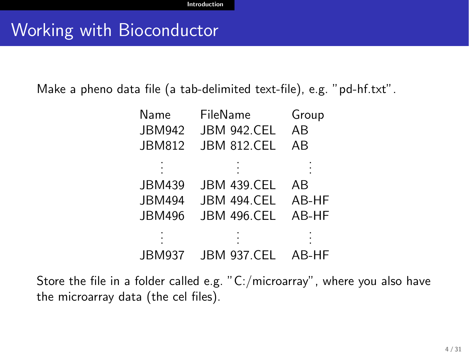## Working with Bioconductor

Make a pheno data file (a tab-delimited text-file), e.g. "pd-hf.txt".

| Name          | FileName           | Group |
|---------------|--------------------|-------|
| <b>JBM942</b> | <b>JBM 942.CEL</b> | AB    |
| <b>JBM812</b> | <b>JBM 812.CEL</b> | ΑB    |
|               |                    |       |
| JBM439        | <b>JBM 439.CEL</b> | AB    |
| <b>JBM494</b> | <b>JBM 494.CEL</b> | AB-HF |
| <b>JBM496</b> | <b>JBM 496.CEL</b> | AB-HF |
|               |                    |       |
| <b>JBM937</b> | <b>JBM 937.CEL</b> | AB-HF |

Store the file in a folder called e.g. "C:/microarray", where you also have the microarray data (the cel files).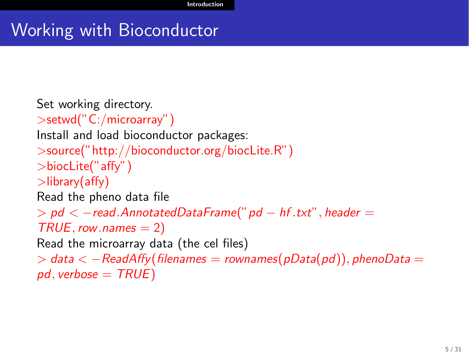## Working with Bioconductor

Set working directory. >setwd("C:/microarray") Install and load bioconductor packages: >source("http://bioconductor.org/biocLite.R") >biocLite("affy") >library(affy) Read the pheno data file  $>$  pd  $<$   $-$  read. Annotated Data Frame(" pd  $-$  hf. txt", header  $=$  $TRUE$ , row.names  $= 2$ ) Read the microarray data (the cel files)  $>$  data  $<-$  ReadAffy(filenames  $=$  rownames(pData(pd)), phenoData  $=$  $pd$ , verbose =  $TRUE$ )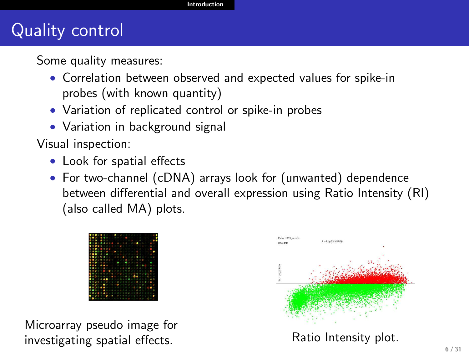## Quality control

Some quality measures:

- Correlation between observed and expected values for spike-in probes (with known quantity)
- Variation of replicated control or spike-in probes
- Variation in background signal

Visual inspection:

- Look for spatial effects
- For two-channel (cDNA) arrays look for (unwanted) dependence between differential and overall expression using Ratio Intensity (RI) (also called MA) plots.

Microarray pseudo image for investigating spatial effects. The Ratio Intensity plot.

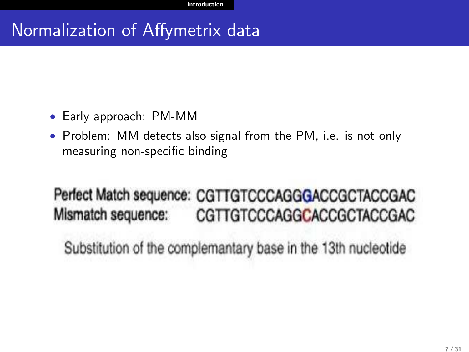## Normalization of Affymetrix data

- Early approach: PM-MM
- Problem: MM detects also signal from the PM, i.e. is not only measuring non-specific binding

## Perfect Match sequence: CGTTGTCCCAGGGACCGCTACCGAC Mismatch sequence: CGTTGTCCCAGGCACCGCTACCGAC

Substitution of the complemantary base in the 13th nucleotide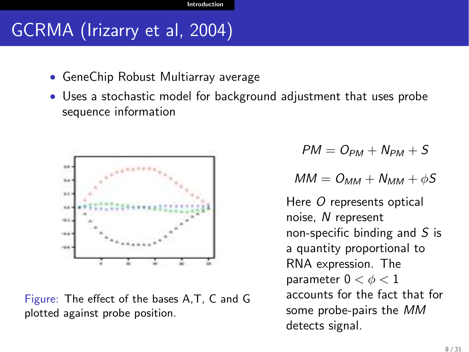## GCRMA (Irizarry et al, 2004)

- GeneChip Robust Multiarray average
- Uses a stochastic model for background adjustment that uses probe sequence information



Figure: The effect of the bases A,T, C and G plotted against probe position.

$$
PM = O_{PM} + N_{PM} + S
$$

$$
MM = O_{MM} + N_{MM} + \phi S
$$

Here O represents optical noise, N represent non-specific binding and  $S$  is a quantity proportional to RNA expression. The parameter  $0 < \phi < 1$ accounts for the fact that for some probe-pairs the MM detects signal.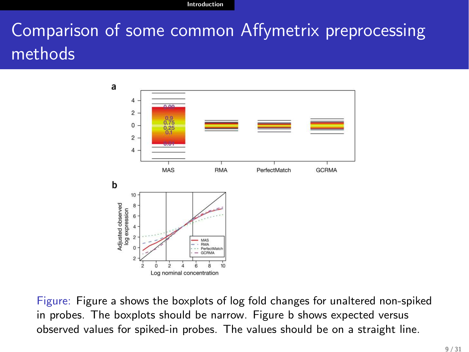# Comparison of some common Affymetrix preprocessing methods



Figure: Figure a shows the boxplots of log fold changes for unaltered non-spiked in probes. The boxplots should be narrow. Figure b shows expected versus observed values for spiked-in probes. The values should be on a straight line.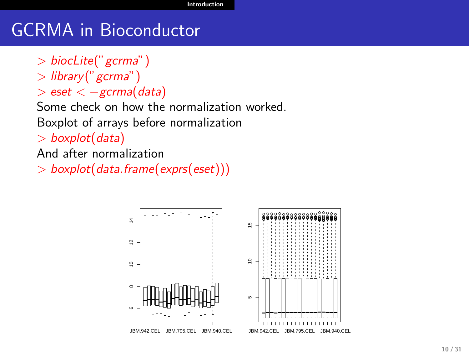## GCRMA in Bioconductor

 $>$  biocLite(" gcrma")  $>$  library(" gcrma")  $>$  eset  $<$  -gcrma(data) Some check on how the normalization worked. Boxplot of arrays before normalization  $>$  boxplot(data) And after normalization > boxplot(data.frame(exprs(eset)))

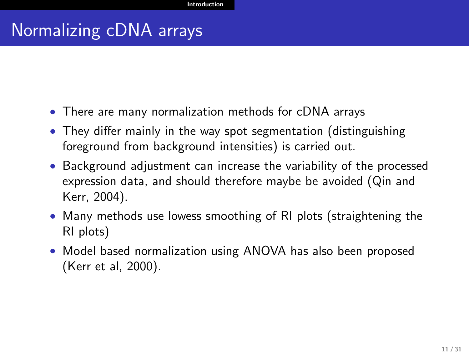## Normalizing cDNA arrays

- There are many normalization methods for cDNA arrays
- They differ mainly in the way spot segmentation (distinguishing foreground from background intensities) is carried out.
- Background adjustment can increase the variability of the processed expression data, and should therefore maybe be avoided (Qin and Kerr, 2004).
- Many methods use lowess smoothing of RI plots (straightening the RI plots)
- Model based normalization using ANOVA has also been proposed (Kerr et al, 2000).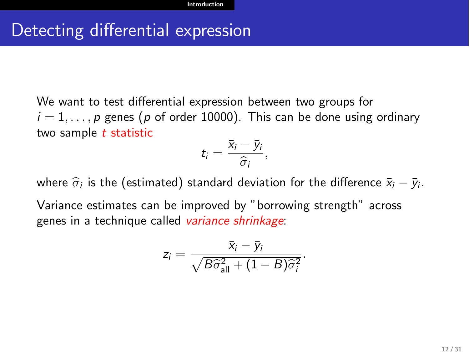## Detecting differential expression

We want to test differential expression between two groups for  $i = 1, \ldots, p$  genes (p of order 10000). This can be done using ordinary two sample  $t$  statistic

$$
t_i=\frac{\bar{x}_i-\bar{y}_i}{\widehat{\sigma}_i},
$$

where  $\widehat{\sigma}_i$  is the (estimated) standard deviation for the difference  $\bar{{\mathsf{x}}}_i - \bar{{\mathsf{y}}}_i.$ Variance estimates can be improved by "borrowing strength" across genes in a technique called variance shrinkage:

$$
z_i = \frac{\bar{x}_i - \bar{y}_i}{\sqrt{B\hat{\sigma}_{all}^2 + (1 - B)\hat{\sigma}_i^2}}.
$$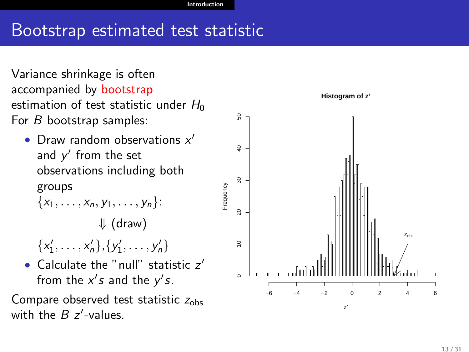## Bootstrap estimated test statistic

Variance shrinkage is often accompanied by **bootstrap** estimation of test statistic under  $H_0$ For B bootstrap samples:

- Draw random observations  $x'$ and  $y'$  from the set observations including both groups  $\{x_1, \ldots, x_n, y_1, \ldots, y_n\}$ : ⇓ (draw)
	- ${x'_1, \ldots, x'_n}, {y'_1, \ldots, y'_n}$
- Calculate the "null" statistic  $z'$ from the  $x's$  and the  $y's$ .

Compare observed test statistic  $z_{\text{obs}}$ with the  $B$  z'-values.

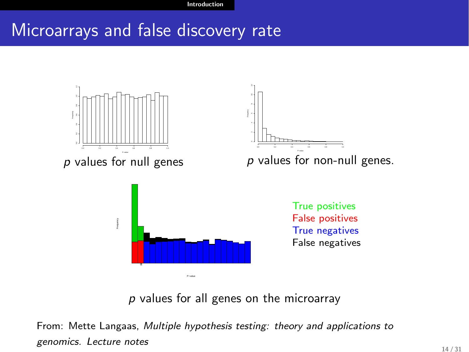Introduction

## Microarrays and false discovery rate



 $p$  values for all genes on the microarray

From: Mette Langaas, Multiple hypothesis testing: theory and applications to genomics. Lecture notes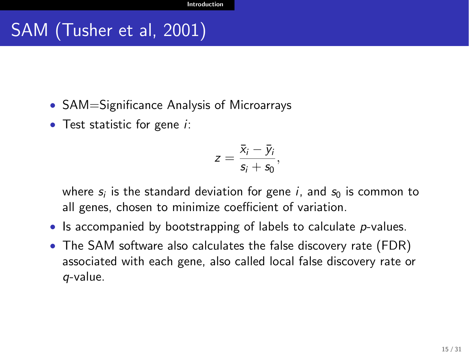## SAM (Tusher et al, 2001)

- SAM=Significance Analysis of Microarrays
- Test statistic for gene *:*

$$
z=\frac{\bar{x}_i-\bar{y}_i}{s_i+s_0},
$$

where  $s_i$  is the standard deviation for gene i, and  $s_0$  is common to all genes, chosen to minimize coefficient of variation.

- Is accompanied by bootstrapping of labels to calculate p-values.
- The SAM software also calculates the false discovery rate (FDR) associated with each gene, also called local false discovery rate or q-value.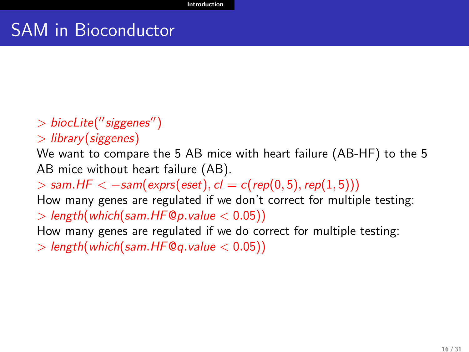## SAM in Bioconductor

 $>$  biocLite("siggenes")

 $>$  library(siggenes)

We want to compare the 5 AB mice with heart failure (AB-HF) to the 5 AB mice without heart failure (AB).

 $>$  sam.HF  $<$   $-$  sam(exprs(eset),  $cl = c$ (rep(0,5), rep(1,5)))

How many genes are regulated if we don't correct for multiple testing:  $>$  length(which(sam.HF@p.value  $<$  0.05))

How many genes are regulated if we do correct for multiple testing:

 $>$  length(which(sam.HF $@a$ .value  $<$  0.05))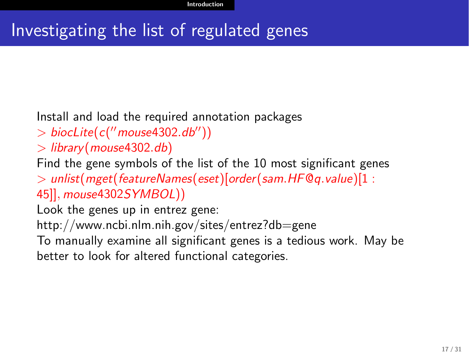## Investigating the list of regulated genes

### Install and load the required annotation packages

 $> biocLife(c("mouse4302.db''))$ 

 $>$  library (mouse 4302.db)

Find the gene symbols of the list of the 10 most significant genes  $>$  unlist(mget(featureNames(eset)[order(sam.HF@q.value)[1 : 45]], mouse4302SYMBOL))

Look the genes up in entrez gene:

http://www.ncbi.nlm.nih.gov/sites/entrez?db=gene

To manually examine all significant genes is a tedious work. May be better to look for altered functional categories.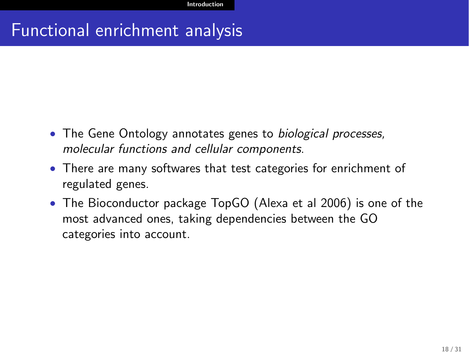## Functional enrichment analysis

- The Gene Ontology annotates genes to *biological processes*, molecular functions and cellular components.
- There are many softwares that test categories for enrichment of regulated genes.
- The Bioconductor package TopGO (Alexa et al 2006) is one of the most advanced ones, taking dependencies between the GO categories into account.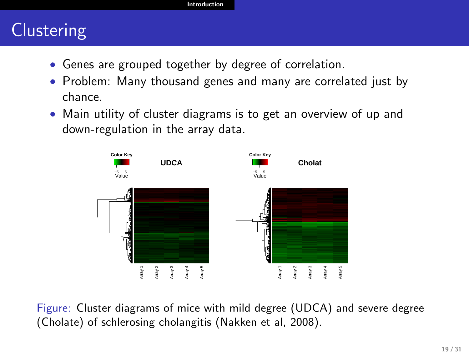## Clustering

- Genes are grouped together by degree of correlation.
- Problem: Many thousand genes and many are correlated just by chance.
- Main utility of cluster diagrams is to get an overview of up and down-regulation in the array data.



Figure: Cluster diagrams of mice with mild degree (UDCA) and severe degree (Cholate) of schlerosing cholangitis (Nakken et al, 2008).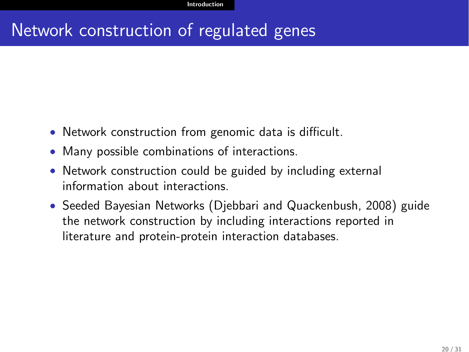## Network construction of regulated genes

- Network construction from genomic data is difficult.
- Many possible combinations of interactions.
- Network construction could be guided by including external information about interactions.
- Seeded Bayesian Networks (Djebbari and Quackenbush, 2008) guide the network construction by including interactions reported in literature and protein-protein interaction databases.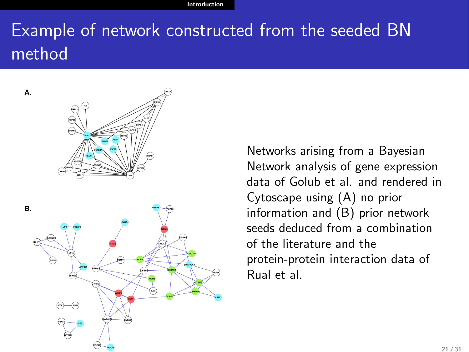Introduction

# Example of network constructed from the seeded BN method



Networks arising from a Bayesian Network analysis of gene expression data of Golub et al. and rendered in Cytoscape using (A) no prior information and (B) prior network seeds deduced from a combination of the literature and the protein-protein interaction data of Rual et al.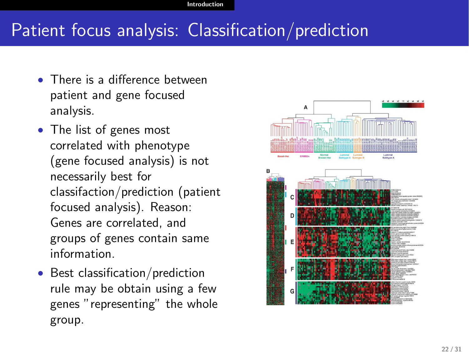#### Introduction

## Patient focus analysis: Classification/prediction

- There is a difference between patient and gene focused analysis.
- The list of genes most correlated with phenotype (gene focused analysis) is not necessarily best for classifaction/prediction (patient focused analysis). Reason: Genes are correlated, and groups of genes contain same information.
- Best classification/prediction rule may be obtain using a few genes "representing" the whole group.

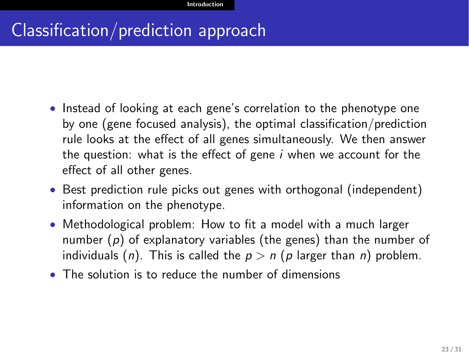## Classification/prediction approach

- Instead of looking at each gene's correlation to the phenotype one by one (gene focused analysis), the optimal classification/prediction rule looks at the effect of all genes simultaneously. We then answer the question: what is the effect of gene  $i$  when we account for the effect of all other genes.
- Best prediction rule picks out genes with orthogonal (independent) information on the phenotype.
- Methodological problem: How to fit a model with a much larger number  $(p)$  of explanatory variables (the genes) than the number of individuals (n). This is called the  $p > n$  (p larger than n) problem.
- The solution is to reduce the number of dimensions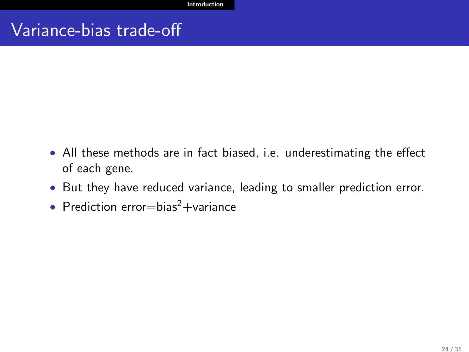### Variance-bias trade-off

- All these methods are in fact biased, i.e. underestimating the effect of each gene.
- But they have reduced variance, leading to smaller prediction error.
- Prediction error=bias<sup>2</sup>+variance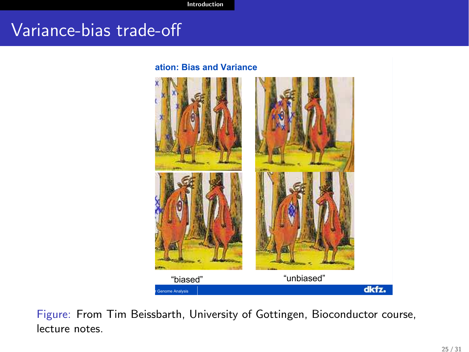## Variance-bias trade-off

#### **Sources of variation: Bias and Variance**



Figure: From Tim Beissbarth, University of Gottingen, Bioconductor course, lecture notes.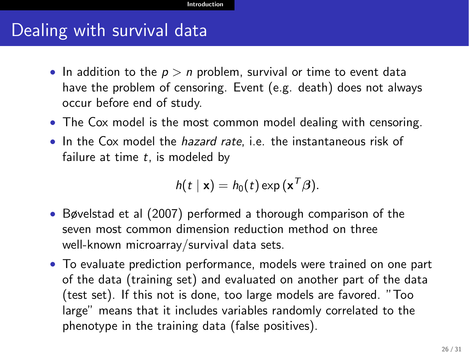## Dealing with survival data

- In addition to the  $p > n$  problem, survival or time to event data have the problem of censoring. Event (e.g. death) does not always occur before end of study.
- The Cox model is the most common model dealing with censoring.
- In the Cox model the *hazard rate*, i.e. the instantaneous risk of failure at time  $t$ , is modeled by

$$
h(t | \mathbf{x}) = h_0(t) \exp(\mathbf{x}^T \boldsymbol{\beta}).
$$

- Bøvelstad et al (2007) performed a thorough comparison of the seven most common dimension reduction method on three well-known microarray/survival data sets.
- To evaluate prediction performance, models were trained on one part of the data (training set) and evaluated on another part of the data (test set). If this not is done, too large models are favored. "Too large" means that it includes variables randomly correlated to the phenotype in the training data (false positives).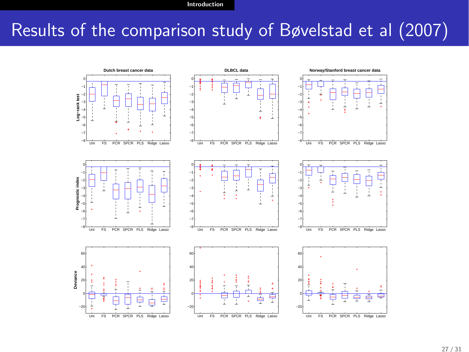Introduction

## Results of the comparison study of Bøvelstad et al (2007)

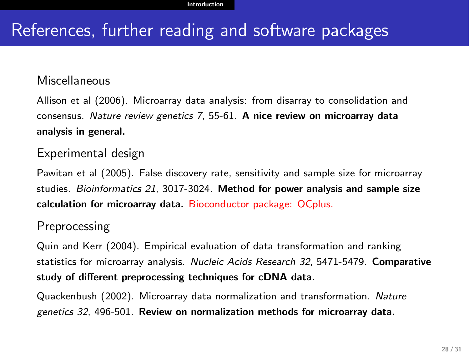## References, further reading and software packages

### Miscellaneous

Allison et al (2006). Microarray data analysis: from disarray to consolidation and consensus. Nature review genetics 7, 55-61. A nice review on microarray data analysis in general.

### Experimental design

Pawitan et al (2005). False discovery rate, sensitivity and sample size for microarray studies. Bioinformatics 21, 3017-3024. Method for power analysis and sample size calculation for microarray data. Bioconductor package: OCplus.

### Preprocessing

Quin and Kerr (2004). Empirical evaluation of data transformation and ranking statistics for microarray analysis. Nucleic Acids Research 32, 5471-5479. Comparative study of different preprocessing techniques for cDNA data.

Quackenbush (2002). Microarray data normalization and transformation. Nature genetics 32, 496-501. Review on normalization methods for microarray data.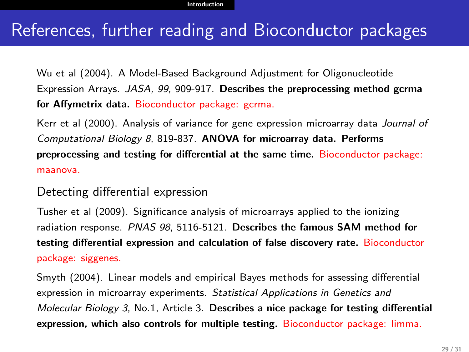### References, further reading and Bioconductor packages

Wu et al (2004). A Model-Based Background Adjustment for Oligonucleotide Expression Arrays. JASA, 99, 909-917. Describes the preprocessing method gcrma for Affymetrix data. Bioconductor package: gcrma.

Kerr et al (2000). Analysis of variance for gene expression microarray data Journal of Computational Biology 8, 819-837. ANOVA for microarray data. Performs preprocessing and testing for differential at the same time. Bioconductor package: maanova.

#### Detecting differential expression

Tusher et al (2009). Significance analysis of microarrays applied to the ionizing radiation response. PNAS 98, 5116-5121. Describes the famous SAM method for testing differential expression and calculation of false discovery rate. Bioconductor package: siggenes.

Smyth (2004). Linear models and empirical Bayes methods for assessing differential expression in microarray experiments. Statistical Applications in Genetics and Molecular Biology 3, No.1, Article 3. Describes a nice package for testing differential expression, which also controls for multiple testing. Bioconductor package: limma.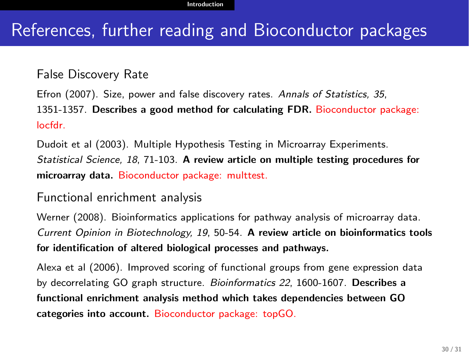## References, further reading and Bioconductor packages

False Discovery Rate

Efron (2007). Size, power and false discovery rates. Annals of Statistics, 35, 1351-1357. Describes a good method for calculating FDR. Bioconductor package: locfdr.

Dudoit et al (2003). Multiple Hypothesis Testing in Microarray Experiments. Statistical Science, 18, 71-103. A review article on multiple testing procedures for microarray data. Bioconductor package: multtest.

### Functional enrichment analysis

Werner (2008). Bioinformatics applications for pathway analysis of microarray data. Current Opinion in Biotechnology, 19, 50-54. A review article on bioinformatics tools for identification of altered biological processes and pathways.

Alexa et al (2006). Improved scoring of functional groups from gene expression data by decorrelating GO graph structure. Bioinformatics 22, 1600-1607. Describes a functional enrichment analysis method which takes dependencies between GO categories into account. Bioconductor package: topGO.